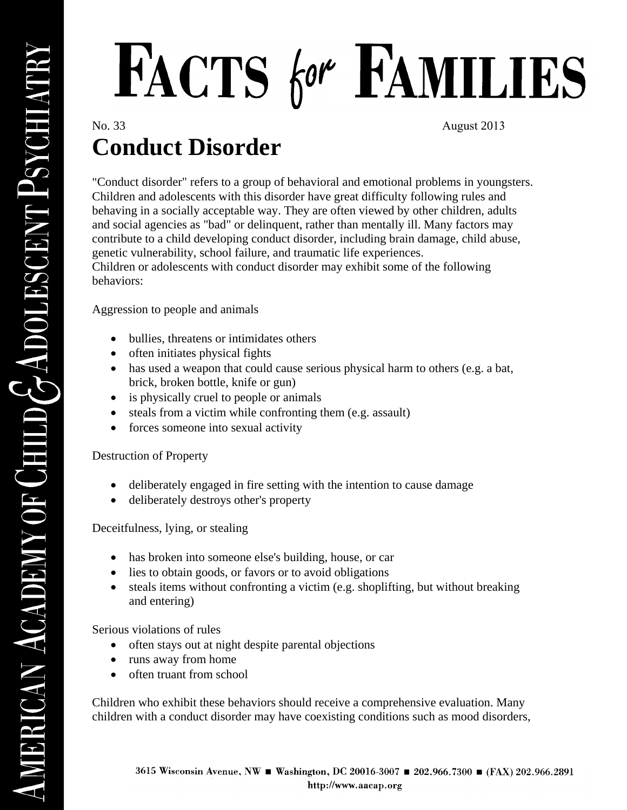# FACTS for FAMILIES

No. 33 August 2013

## **Conduct Disorder**

"Conduct disorder" refers to a group of behavioral and emotional problems in youngsters. Children and adolescents with this disorder have great difficulty following rules and behaving in a socially acceptable way. They are often viewed by other children, adults and social agencies as "bad" or delinquent, rather than mentally ill. Many factors may contribute to a child developing conduct disorder, including brain damage, child abuse, genetic vulnerability, school failure, and traumatic life experiences. Children or adolescents with conduct disorder may exhibit some of the following behaviors:

Aggression to people and animals

- bullies, threatens or intimidates others
- often initiates physical fights
- has used a weapon that could cause serious physical harm to others (e.g. a bat, brick, broken bottle, knife or gun)
- is physically cruel to people or animals
- steals from a victim while confronting them (e.g. assault)
- forces someone into sexual activity

### Destruction of Property

- deliberately engaged in fire setting with the intention to cause damage
- deliberately destroys other's property

Deceitfulness, lying, or stealing

- has broken into someone else's building, house, or car
- lies to obtain goods, or favors or to avoid obligations
- steals items without confronting a victim (e.g. shoplifting, but without breaking and entering)

Serious violations of rules

- often stays out at night despite parental objections
- runs away from home
- often truant from school

Children who exhibit these behaviors should receive a comprehensive evaluation. Many children with a conduct disorder may have coexisting conditions such as mood disorders,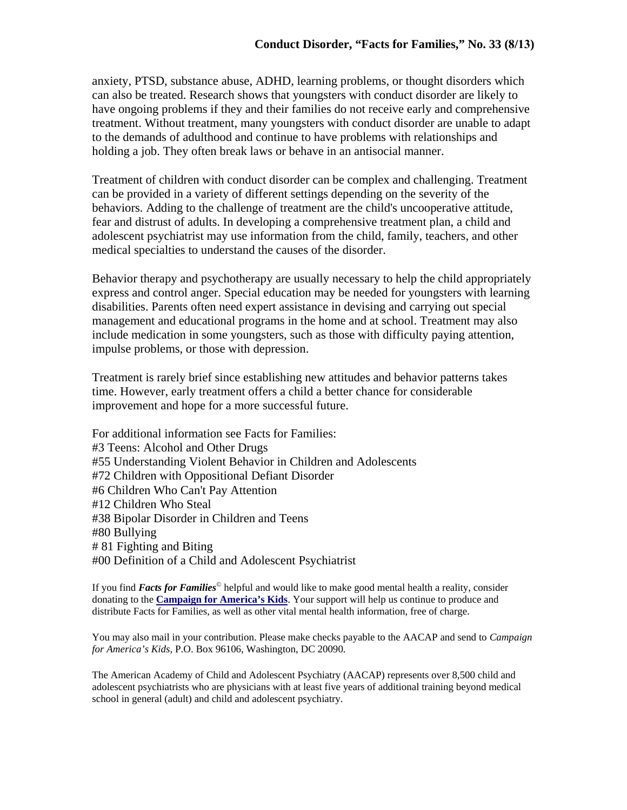anxiety, PTSD, substance abuse, ADHD, learning problems, or thought disorders which can also be treated. Research shows that youngsters with conduct disorder are likely to have ongoing problems if they and their families do not receive early and comprehensive treatment. Without treatment, many youngsters with conduct disorder are unable to adapt to the demands of adulthood and continue to have problems with relationships and holding a job. They often break laws or behave in an antisocial manner.

Treatment of children with conduct disorder can be complex and challenging. Treatment can be provided in a variety of different settings depending on the severity of the behaviors. Adding to the challenge of treatment are the child's uncooperative attitude, fear and distrust of adults. In developing a comprehensive treatment plan, a child and adolescent psychiatrist may use information from the child, family, teachers, and other medical specialties to understand the causes of the disorder.

Behavior therapy and psychotherapy are usually necessary to help the child appropriately express and control anger. Special education may be needed for youngsters with learning disabilities. Parents often need expert assistance in devising and carrying out special management and educational programs in the home and at school. Treatment may also include medication in some youngsters, such as those with difficulty paying attention, impulse problems, or those with depression.

Treatment is rarely brief since establishing new attitudes and behavior patterns takes time. However, early treatment offers a child a better chance for considerable improvement and hope for a more successful future.

For additional information see Facts for Families: #3 Teens: Alcohol and Other Drugs #55 Understanding Violent Behavior in Children and Adolescents #72 Children with Oppositional Defiant Disorder #6 Children Who Can't Pay Attention #12 Children Who Steal #38 Bipolar Disorder in Children and Teens #80 Bullying # 81 Fighting and Biting #00 Definition of a Child and Adolescent Psychiatrist

If you find *Facts for Families*© helpful and would like to make good mental health a reality, consider donating to the **Campaign for America's Kids**. Your support will help us continue to produce and distribute Facts for Families, as well as other vital mental health information, free of charge.

You may also mail in your contribution. Please make checks payable to the AACAP and send to *Campaign for America's Kids*, P.O. Box 96106, Washington, DC 20090.

The American Academy of Child and Adolescent Psychiatry (AACAP) represents over 8,500 child and adolescent psychiatrists who are physicians with at least five years of additional training beyond medical school in general (adult) and child and adolescent psychiatry.